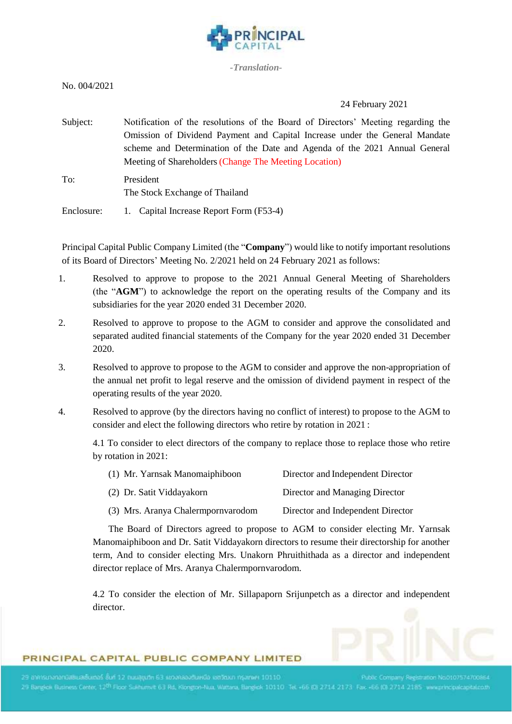

*-Translation-*

# 24 February 2021

Subject: Notification of the resolutions of the Board of Directors' Meeting regarding the Omission of Dividend Payment and Capital Increase under the General Mandate scheme and Determination of the Date and Agenda of the 2021 Annual General Meeting of Shareholders(Change The Meeting Location) To: President The Stock Exchange of Thailand

Enclosure: 1. Capital Increase Report Form (F53-4)

Principal Capital Public Company Limited (the "**Company**") would like to notify important resolutions of its Board of Directors' Meeting No. 2/2021 held on 24 February 2021 as follows:

- 1. Resolved to approve to propose to the 2021 Annual General Meeting of Shareholders (the "**AGM**") to acknowledge the report on the operating results of the Company and its subsidiaries for the year 2020 ended 31 December 2020.
- 2. Resolved to approve to propose to the AGM to consider and approve the consolidated and separated audited financial statements of the Company for the year 2020 ended 31 December 2020.
- 3. Resolved to approve to propose to the AGM to consider and approve the non-appropriation of the annual net profit to legal reserve and the omission of dividend payment in respect of the operating results of the year 2020.
- 4. Resolved to approve (by the directors having no conflict of interest) to propose to the AGM to consider and elect the following directors who retire by rotation in 2021 :

4.1 To consider to elect directors of the company to replace those to replace those who retire by rotation in 2021:

| (1) Mr. Yarnsak Manomaiphiboon     | Director and Independent Director |
|------------------------------------|-----------------------------------|
| (2) Dr. Satit Viddayakorn          | Director and Managing Director    |
| (3) Mrs. Aranya Chalermpornvarodom | Director and Independent Director |

The Board of Directors agreed to propose to AGM to consider electing Mr. Yarnsak Manomaiphiboon and Dr. Satit Viddayakorn directors to resume their directorship for another term, And to consider electing Mrs. Unakorn Phruithithada as a director and independent director replace of Mrs. Aranya Chalermpornvarodom.

4.2 To consider the election of Mr. Sillapaporn Srijunpetch as a director and independent director.

## PRINCIPAL CAPITAL PUBLIC COMPANY LIMITED

29 Bangkoi Business Center, 12<sup>th</sup> Floor Sukhumvit 63 Rd, Klongton-Nua, Wattara, Bangkok 10110 Tel. +66 (0) 2714 2173 Fax +66 (0) 2714 2185 www.principalcapital.co.th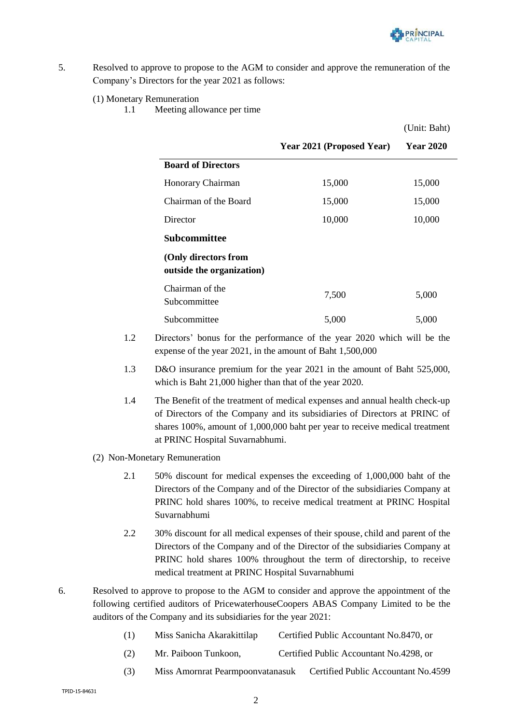

 $(TU)$ : Bah

- 5. Resolved to approve to propose to the AGM to consider and approve the remuneration of the Company's Directors for the year 2021 as follows:
	- (1) Monetary Remuneration
		- 1.1 Meeting allowance per time

|                                                   |                           | (Unit: Bant)     |
|---------------------------------------------------|---------------------------|------------------|
|                                                   | Year 2021 (Proposed Year) | <b>Year 2020</b> |
| <b>Board of Directors</b>                         |                           |                  |
| Honorary Chairman                                 | 15,000                    | 15,000           |
| Chairman of the Board                             | 15,000                    | 15,000           |
| Director                                          | 10,000                    | 10,000           |
| Subcommittee                                      |                           |                  |
| (Only directors from<br>outside the organization) |                           |                  |
| Chairman of the<br>Subcommittee                   | 7,500                     | 5,000            |
| Subcommittee                                      | 5,000                     | 5,000            |

- 1.2 Directors' bonus for the performance of the year 2020 which will be the expense of the year 2021, in the amount of Baht 1,500,000
- 1.3 D&O insurance premium for the year 2021 in the amount of Baht 525,000, which is Baht 21,000 higher than that of the year 2020.
- 1.4 The Benefit of the treatment of medical expenses and annual health check-up of Directors of the Company and its subsidiaries of Directors at PRINC of shares 100%, amount of 1,000,000 baht per year to receive medical treatment at PRINC Hospital Suvarnabhumi.
- (2) Non-Monetary Remuneration
	- 2.1 50% discount for medical expenses the exceeding of 1,000,000 baht of the Directors of the Company and of the Director of the subsidiaries Company at PRINC hold shares 100%, to receive medical treatment at PRINC Hospital Suvarnabhumi
	- 2.2 30% discount for all medical expenses of their spouse, child and parent of the Directors of the Company and of the Director of the subsidiaries Company at PRINC hold shares 100% throughout the term of directorship, to receive medical treatment at PRINC Hospital Suvarnabhumi
- 6. Resolved to approve to propose to the AGM to consider and approve the appointment of the following certified auditors of PricewaterhouseCoopers ABAS Company Limited to be the auditors of the Company and its subsidiaries for the year 2021:

| Miss Sanicha Akarakittilap<br>$\left( 1\right)$ | Certified Public Accountant No.8470, or |  |
|-------------------------------------------------|-----------------------------------------|--|
|-------------------------------------------------|-----------------------------------------|--|

- (2) Mr. Paiboon Tunkoon, Certified Public Accountant No.4298, or
- (3) Miss Amornrat Pearmpoonvatanasuk Certified Public Accountant No.4599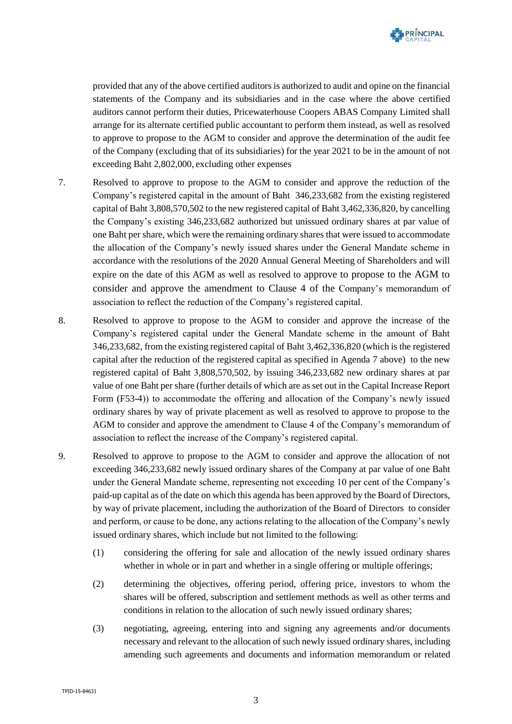

provided that any of the above certified auditors is authorized to audit and opine on the financial statements of the Company and its subsidiaries and in the case where the above certified auditors cannot perform their duties, Pricewaterhouse Coopers ABAS Company Limited shall arrange for its alternate certified public accountant to perform them instead, as well as resolved to approve to propose to the AGM to consider and approve the determination of the audit fee of the Company (excluding that of its subsidiaries) for the year 2021 to be in the amount of not exceeding Baht 2,802,000, excluding other expenses

- 7. Resolved to approve to propose to the AGM to consider and approve the reduction of the Company's registered capital in the amount of Baht 346,233,682 from the existing registered capital of Baht 3,808,570,502 to the new registered capital of Baht 3,462,336,820, by cancelling the Company's existing 346,233,682 authorized but unissued ordinary shares at par value of one Baht per share, which were the remaining ordinary shares that were issued to accommodate the allocation of the Company's newly issued shares under the General Mandate scheme in accordance with the resolutions of the 2020 Annual General Meeting of Shareholders and will expire on the date of this AGM as well as resolved to approve to propose to the AGM to consider and approve the amendment to Clause 4 of the Company's memorandum of association to reflect the reduction of the Company's registered capital.
- 8. Resolved to approve to propose to the AGM to consider and approve the increase of the Company's registered capital under the General Mandate scheme in the amount of Baht 346,233,682, from the existing registered capital of Baht 3,462,336,820 (which is the registered capital after the reduction of the registered capital as specified in Agenda 7 above) to the new registered capital of Baht 3,808,570,502, by issuing 346,233,682 new ordinary shares at par value of one Baht per share (further details of which are as set out in the Capital Increase Report Form (F53-4)) to accommodate the offering and allocation of the Company's newly issued ordinary shares by way of private placement as well as resolved to approve to propose to the AGM to consider and approve the amendment to Clause 4 of the Company's memorandum of association to reflect the increase of the Company's registered capital.
- 9. Resolved to approve to propose to the AGM to consider and approve the allocation of not exceeding 346,233,682 newly issued ordinary shares of the Company at par value of one Baht under the General Mandate scheme, representing not exceeding 10 per cent of the Company's paid-up capital as of the date on which this agenda has been approved by the Board of Directors, by way of private placement, including the authorization of the Board of Directors to consider and perform, or cause to be done, any actions relating to the allocation of the Company's newly issued ordinary shares, which include but not limited to the following:
	- (1) considering the offering for sale and allocation of the newly issued ordinary shares whether in whole or in part and whether in a single offering or multiple offerings;
	- (2) determining the objectives, offering period, offering price, investors to whom the shares will be offered, subscription and settlement methods as well as other terms and conditions in relation to the allocation of such newly issued ordinary shares;
	- (3) negotiating, agreeing, entering into and signing any agreements and/or documents necessary and relevant to the allocation of such newly issued ordinary shares, including amending such agreements and documents and information memorandum or related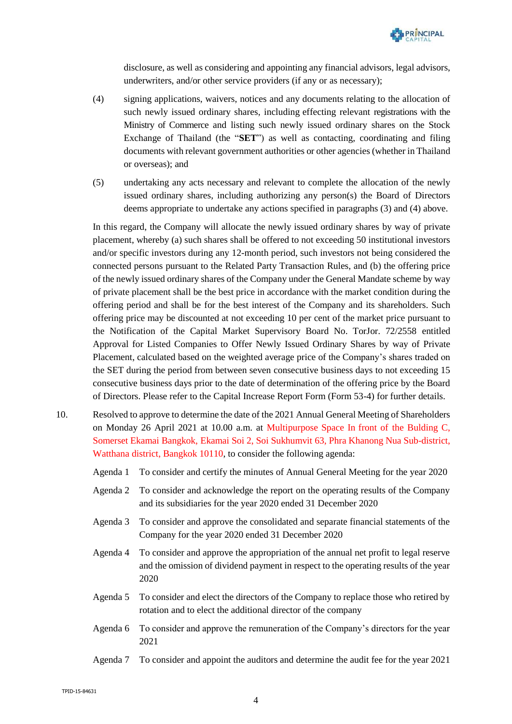

disclosure, as well as considering and appointing any financial advisors, legal advisors, underwriters, and/or other service providers (if any or as necessary);

- (4) signing applications, waivers, notices and any documents relating to the allocation of such newly issued ordinary shares, including effecting relevant registrations with the Ministry of Commerce and listing such newly issued ordinary shares on the Stock Exchange of Thailand (the "**SET**") as well as contacting, coordinating and filing documents with relevant government authorities or other agencies (whether in Thailand or overseas); and
- (5) undertaking any acts necessary and relevant to complete the allocation of the newly issued ordinary shares, including authorizing any person(s) the Board of Directors deems appropriate to undertake any actions specified in paragraphs (3) and (4) above.

In this regard, the Company will allocate the newly issued ordinary shares by way of private placement, whereby (a) such shares shall be offered to not exceeding 50 institutional investors and/or specific investors during any 12-month period, such investors not being considered the connected persons pursuant to the Related Party Transaction Rules, and (b) the offering price of the newly issued ordinary shares of the Company under the General Mandate scheme by way of private placement shall be the best price in accordance with the market condition during the offering period and shall be for the best interest of the Company and its shareholders. Such offering price may be discounted at not exceeding 10 per cent of the market price pursuant to the Notification of the Capital Market Supervisory Board No. TorJor. 72/2558 entitled Approval for Listed Companies to Offer Newly Issued Ordinary Shares by way of Private Placement, calculated based on the weighted average price of the Company's shares traded on the SET during the period from between seven consecutive business days to not exceeding 15 consecutive business days prior to the date of determination of the offering price by the Board of Directors. Please refer to the Capital Increase Report Form (Form 53-4) for further details.

- 10. Resolved to approve to determine the date of the 2021 Annual General Meeting of Shareholders on Monday 26 April 2021 at 10.00 a.m. at Multipurpose Space In front of the Bulding C, Somerset Ekamai Bangkok, Ekamai Soi 2, Soi Sukhumvit 63, Phra Khanong Nua Sub-district, Watthana district, Bangkok 10110, to consider the following agenda:
	- Agenda 1 To consider and certify the minutes of Annual General Meeting for the year 2020
	- Agenda 2 To consider and acknowledge the report on the operating results of the Company and its subsidiaries for the year 2020 ended 31 December 2020
	- Agenda 3 To consider and approve the consolidated and separate financial statements of the Company for the year 2020 ended 31 December 2020
	- Agenda 4 To consider and approve the appropriation of the annual net profit to legal reserve and the omission of dividend payment in respect to the operating results of the year 2020
	- Agenda 5 To consider and elect the directors of the Company to replace those who retired by rotation and to elect the additional director of the company
	- Agenda 6 To consider and approve the remuneration of the Company's directors for the year 2021
	- Agenda 7 To consider and appoint the auditors and determine the audit fee for the year 2021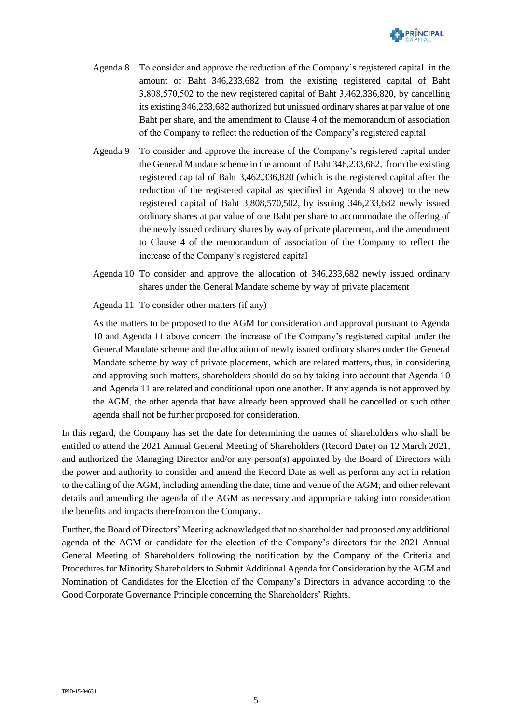

- Agenda 8 To consider and approve the reduction of the Company's registered capital in the amount of Baht 346,233,682 from the existing registered capital of Baht 3,808,570,502 to the new registered capital of Baht 3,462,336,820, by cancelling its existing 346,233,682 authorized but unissued ordinary shares at par value of one Baht per share, and the amendment to Clause 4 of the memorandum of association of the Company to reflect the reduction of the Company's registered capital
- Agenda 9 To consider and approve the increase of the Company's registered capital under the General Mandate scheme in the amount of Baht 346,233,682, from the existing registered capital of Baht 3,462,336,820 (which is the registered capital after the reduction of the registered capital as specified in Agenda 9 above) to the new registered capital of Baht 3,808,570,502, by issuing 346,233,682 newly issued ordinary shares at par value of one Baht per share to accommodate the offering of the newly issued ordinary shares by way of private placement, and the amendment to Clause 4 of the memorandum of association of the Company to reflect the increase of the Company's registered capital
- Agenda 10 To consider and approve the allocation of 346,233,682 newly issued ordinary shares under the General Mandate scheme by way of private placement

Agenda 11 To consider other matters (if any)

As the matters to be proposed to the AGM for consideration and approval pursuant to Agenda 10 and Agenda 11 above concern the increase of the Company's registered capital under the General Mandate scheme and the allocation of newly issued ordinary shares under the General Mandate scheme by way of private placement, which are related matters, thus, in considering and approving such matters, shareholders should do so by taking into account that Agenda 10 and Agenda 11 are related and conditional upon one another. If any agenda is not approved by the AGM, the other agenda that have already been approved shall be cancelled or such other agenda shall not be further proposed for consideration.

In this regard, the Company has set the date for determining the names of shareholders who shall be entitled to attend the 2021 Annual General Meeting of Shareholders (Record Date) on 12 March 2021, and authorized the Managing Director and/or any person(s) appointed by the Board of Directors with the power and authority to consider and amend the Record Date as well as perform any act in relation to the calling of the AGM, including amending the date, time and venue of the AGM, and other relevant details and amending the agenda of the AGM as necessary and appropriate taking into consideration the benefits and impacts therefrom on the Company.

Further, the Board of Directors' Meeting acknowledged that no shareholder had proposed any additional agenda of the AGM or candidate for the election of the Company's directors for the 2021 Annual General Meeting of Shareholders following the notification by the Company of the Criteria and Procedures for Minority Shareholders to Submit Additional Agenda for Consideration by the AGM and Nomination of Candidates for the Election of the Company's Directors in advance according to the Good Corporate Governance Principle concerning the Shareholders' Rights.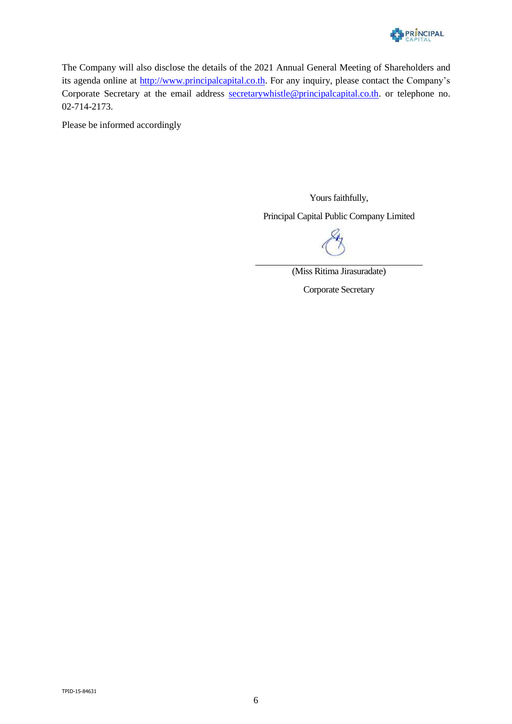

The Company will also disclose the details of the 2021 Annual General Meeting of Shareholders and its agenda online at [http://www.principalcapital.co.th.](http://www.principalcapital.co.th/) For any inquiry, please contact the Company's Corporate Secretary at the email address [secretarywhistle@principalcapital.co.th.](mailto:secretarywhistle@principalcapital.co.th) or telephone no. 02-714-2173.

Please be informed accordingly

Yours faithfully, Principal Capital Public Company Limited

(Miss Ritima Jirasuradate)

Corporate Secretary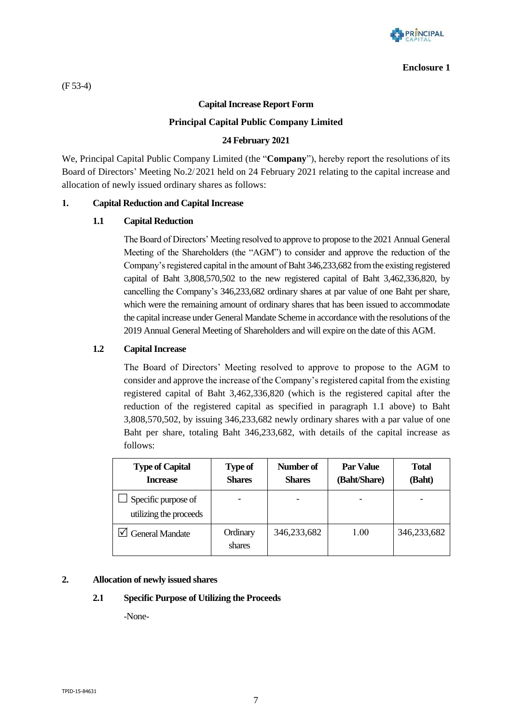

#### **Enclosure 1**

(F 53-4)

### **Capital Increase Report Form**

### **Principal Capital Public Company Limited**

### **24 February 2021**

We, Principal Capital Public Company Limited (the "**Company**"), hereby report the resolutions of its Board of Directors' Meeting No.2/2021 held on 24 February 2021 relating to the capital increase and allocation of newly issued ordinary shares as follows:

#### **1. Capital Reduction and Capital Increase**

#### **1.1 Capital Reduction**

The Board of Directors' Meeting resolved to approve to propose to the 2021 Annual General Meeting of the Shareholders (the "AGM") to consider and approve the reduction of the Company's registered capital in the amount of Baht 346,233,682 from the existing registered capital of Baht 3,808,570,502 to the new registered capital of Baht 3,462,336,820, by cancelling the Company's 346,233,682 ordinary shares at par value of one Baht per share, which were the remaining amount of ordinary shares that has been issued to accommodate the capital increase under General Mandate Scheme in accordance with the resolutions of the 2019 Annual General Meeting of Shareholders and will expire on the date of this AGM.

### **1.2 Capital Increase**

The Board of Directors' Meeting resolved to approve to propose to the AGM to consider and approve the increase of the Company's registered capital from the existing registered capital of Baht 3,462,336,820 (which is the registered capital after the reduction of the registered capital as specified in paragraph 1.1 above) to Baht 3,808,570,502, by issuing 346,233,682 newly ordinary shares with a par value of one Baht per share, totaling Baht 346,233,682, with details of the capital increase as follows:

| <b>Type of Capital</b><br><b>Increase</b>     | <b>Type of</b><br><b>Shares</b> | Number of<br><b>Shares</b> | <b>Par Value</b><br>(Baht/Share) | <b>Total</b><br>(Baht) |
|-----------------------------------------------|---------------------------------|----------------------------|----------------------------------|------------------------|
| Specific purpose of<br>utilizing the proceeds |                                 |                            |                                  |                        |
| $\Box$ General Mandate                        | Ordinary<br>shares              | 346,233,682                | 1.00                             | 346,233,682            |

#### **2. Allocation of newly issued shares**

### **2.1 Specific Purpose of Utilizing the Proceeds**

-None-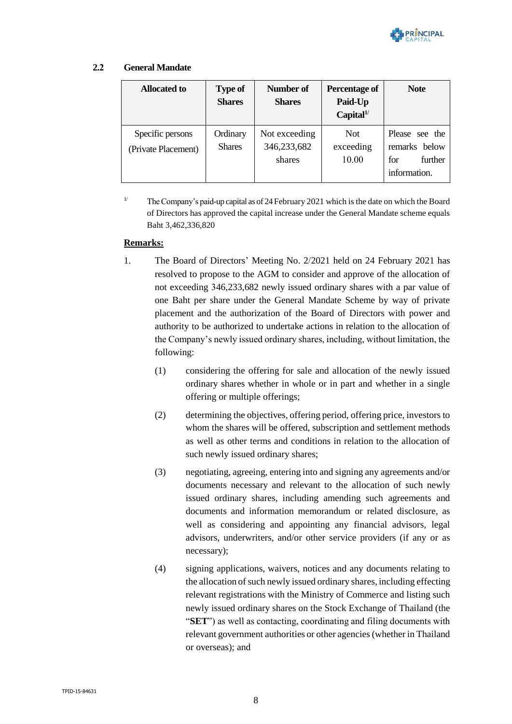

### **2.2 General Mandate**

| <b>Allocated to</b>                     | <b>Type of</b><br><b>Shares</b> | Number of<br><b>Shares</b>             | <b>Percentage of</b><br>Paid-Up<br>Capital <sup>1</sup> | <b>Note</b>                                                       |
|-----------------------------------------|---------------------------------|----------------------------------------|---------------------------------------------------------|-------------------------------------------------------------------|
| Specific persons<br>(Private Placement) | Ordinary<br><b>Shares</b>       | Not exceeding<br>346,233,682<br>shares | <b>Not</b><br>exceeding<br>10.00                        | Please see the<br>remarks below<br>further<br>for<br>information. |

<sup>1/</sup> The Company's paid-up capital as of 24 February 2021 which is the date on which the Board of Directors has approved the capital increase under the General Mandate scheme equals Baht 3,462,336,820

### **Remarks:**

- 1. The Board of Directors' Meeting No. 2/2021 held on 24 February 2021 has resolved to propose to the AGM to consider and approve of the allocation of not exceeding 346,233,682 newly issued ordinary shares with a par value of one Baht per share under the General Mandate Scheme by way of private placement and the authorization of the Board of Directors with power and authority to be authorized to undertake actions in relation to the allocation of the Company's newly issued ordinary shares, including, without limitation, the following:
	- (1) considering the offering for sale and allocation of the newly issued ordinary shares whether in whole or in part and whether in a single offering or multiple offerings;
	- (2) determining the objectives, offering period, offering price, investors to whom the shares will be offered, subscription and settlement methods as well as other terms and conditions in relation to the allocation of such newly issued ordinary shares;
	- (3) negotiating, agreeing, entering into and signing any agreements and/or documents necessary and relevant to the allocation of such newly issued ordinary shares, including amending such agreements and documents and information memorandum or related disclosure, as well as considering and appointing any financial advisors, legal advisors, underwriters, and/or other service providers (if any or as necessary);
	- (4) signing applications, waivers, notices and any documents relating to the allocation of such newly issued ordinary shares, including effecting relevant registrations with the Ministry of Commerce and listing such newly issued ordinary shares on the Stock Exchange of Thailand (the "**SET**") as well as contacting, coordinating and filing documents with relevant government authorities or other agencies (whether in Thailand or overseas); and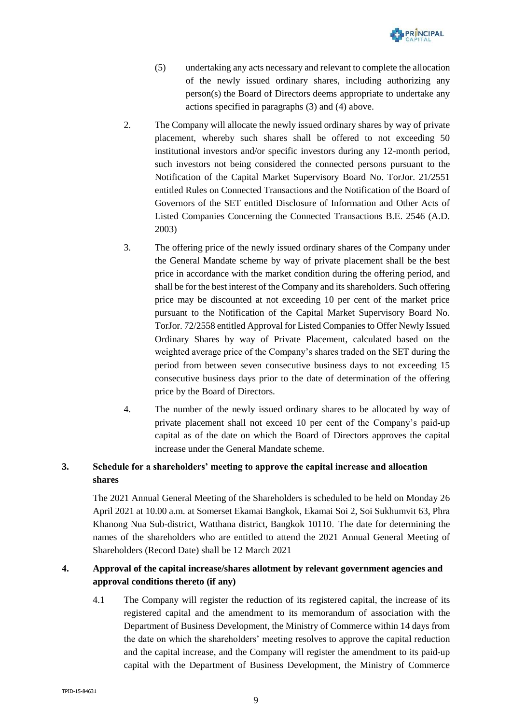

- (5) undertaking any acts necessary and relevant to complete the allocation of the newly issued ordinary shares, including authorizing any person(s) the Board of Directors deems appropriate to undertake any actions specified in paragraphs (3) and (4) above.
- 2. The Company will allocate the newly issued ordinary shares by way of private placement, whereby such shares shall be offered to not exceeding 50 institutional investors and/or specific investors during any 12-month period, such investors not being considered the connected persons pursuant to the Notification of the Capital Market Supervisory Board No. TorJor. 21/2551 entitled Rules on Connected Transactions and the Notification of the Board of Governors of the SET entitled Disclosure of Information and Other Acts of Listed Companies Concerning the Connected Transactions B.E. 2546 (A.D. 2003)
- 3. The offering price of the newly issued ordinary shares of the Company under the General Mandate scheme by way of private placement shall be the best price in accordance with the market condition during the offering period, and shall be for the best interest of the Company and its shareholders. Such offering price may be discounted at not exceeding 10 per cent of the market price pursuant to the Notification of the Capital Market Supervisory Board No. TorJor. 72/2558 entitled Approval for Listed Companies to Offer Newly Issued Ordinary Shares by way of Private Placement, calculated based on the weighted average price of the Company's shares traded on the SET during the period from between seven consecutive business days to not exceeding 15 consecutive business days prior to the date of determination of the offering price by the Board of Directors.
- 4. The number of the newly issued ordinary shares to be allocated by way of private placement shall not exceed 10 per cent of the Company's paid-up capital as of the date on which the Board of Directors approves the capital increase under the General Mandate scheme.

# **3. Schedule for a shareholders' meeting to approve the capital increase and allocation shares**

The 2021 Annual General Meeting of the Shareholders is scheduled to be held on Monday 26 April 2021 at 10.00 a.m. at Somerset Ekamai Bangkok, Ekamai Soi 2, Soi Sukhumvit 63, Phra Khanong Nua Sub-district, Watthana district, Bangkok 10110. The date for determining the names of the shareholders who are entitled to attend the 2021 Annual General Meeting of Shareholders (Record Date) shall be 12 March 2021

# **4. Approval of the capital increase/shares allotment by relevant government agencies and approval conditions thereto (if any)**

4.1 The Company will register the reduction of its registered capital, the increase of its registered capital and the amendment to its memorandum of association with the Department of Business Development, the Ministry of Commerce within 14 days from the date on which the shareholders' meeting resolves to approve the capital reduction and the capital increase, and the Company will register the amendment to its paid-up capital with the Department of Business Development, the Ministry of Commerce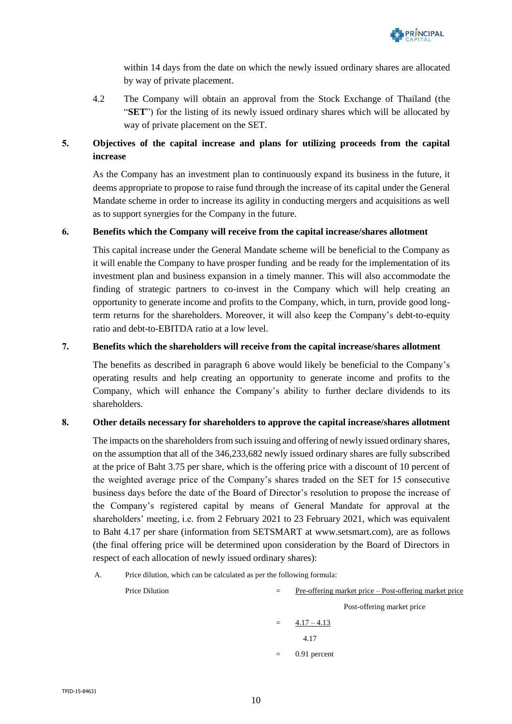

within 14 days from the date on which the newly issued ordinary shares are allocated by way of private placement.

4.2 The Company will obtain an approval from the Stock Exchange of Thailand (the "**SET**") for the listing of its newly issued ordinary shares which will be allocated by way of private placement on the SET.

# **5. Objectives of the capital increase and plans for utilizing proceeds from the capital increase**

As the Company has an investment plan to continuously expand its business in the future, it deems appropriate to propose to raise fund through the increase of its capital under the General Mandate scheme in order to increase its agility in conducting mergers and acquisitions as well as to support synergies for the Company in the future.

### **6. Benefits which the Company will receive from the capital increase/shares allotment**

This capital increase under the General Mandate scheme will be beneficial to the Company as it will enable the Company to have prosper funding and be ready for the implementation of its investment plan and business expansion in a timely manner. This will also accommodate the finding of strategic partners to co-invest in the Company which will help creating an opportunity to generate income and profits to the Company, which, in turn, provide good longterm returns for the shareholders. Moreover, it will also keep the Company's debt-to-equity ratio and debt-to-EBITDA ratio at a low level.

## **7. Benefits which the shareholders will receive from the capital increase/shares allotment**

The benefits as described in paragraph 6 above would likely be beneficial to the Company's operating results and help creating an opportunity to generate income and profits to the Company, which will enhance the Company's ability to further declare dividends to its shareholders.

### **8. Other details necessary for shareholders to approve the capital increase/shares allotment**

The impacts on the shareholders from such issuing and offering of newly issued ordinary shares, on the assumption that all of the 346,233,682 newly issued ordinary shares are fully subscribed at the price of Baht 3.75 per share, which is the offering price with a discount of 10 percent of the weighted average price of the Company's shares traded on the SET for 15 consecutive business days before the date of the Board of Director's resolution to propose the increase of the Company's registered capital by means of General Mandate for approval at the shareholders' meeting, i.e. from 2 February 2021 to 23 February 2021, which was equivalent to Baht 4.17 per share (information from SETSMART at [www.setsmart.com\)](http://www.setsmart.com/), are as follows (the final offering price will be determined upon consideration by the Board of Directors in respect of each allocation of newly issued ordinary shares):

A. Price dilution, which can be calculated as per the following formula:

| Price Dilution | $=$     | Pre-offering market price – Post-offering market price |  |
|----------------|---------|--------------------------------------------------------|--|
|                |         | Post-offering market price                             |  |
|                | $=$ $-$ | $4.17 - 4.13$                                          |  |
|                |         | 4.17                                                   |  |
|                | $=$     | 0.91 percent                                           |  |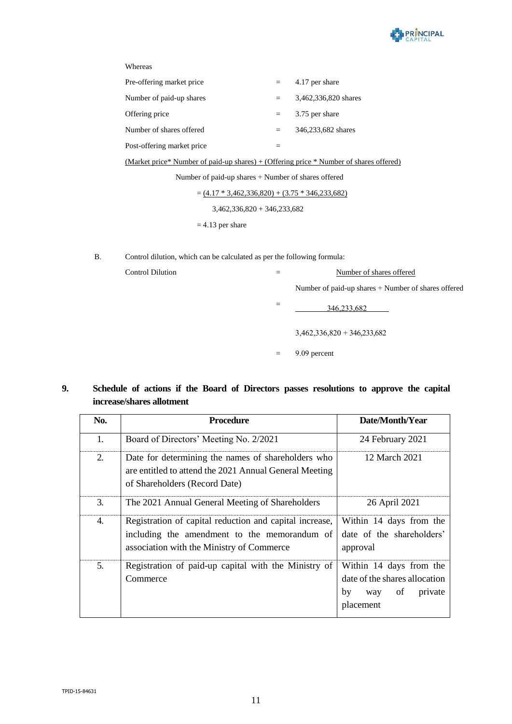

| Pre-offering market price  |     | 4.17 per share       |
|----------------------------|-----|----------------------|
| Number of paid-up shares   |     | 3,462,336,820 shares |
| Offering price             |     | 3.75 per share       |
| Number of shares offered   | $=$ | 346,233,682 shares   |
| Post-offering market price |     |                      |

(Market price\* Number of paid-up shares) + (Offering price \* Number of shares offered)

Number of paid-up shares + Number of shares offered

 $=(4.17 * 3,462,336,820) + (3.75 * 346,233,682)$ 

3,462,336,820 + 346,233,682

 $= 4.13$  per share

B. Control dilution, which can be calculated as per the following formula:

| Control Dilution |     | Number of shares offered                            |  |
|------------------|-----|-----------------------------------------------------|--|
|                  |     | Number of paid-up shares + Number of shares offered |  |
|                  |     | 346,233,682                                         |  |
|                  |     | $3,462,336,820 + 346,233,682$                       |  |
|                  | $=$ | 9.09 percent                                        |  |

## **9. Schedule of actions if the Board of Directors passes resolutions to approve the capital increase/shares allotment**

| No. | <b>Procedure</b>                                                                                                                                     | Date/Month/Year                                                                                     |  |  |
|-----|------------------------------------------------------------------------------------------------------------------------------------------------------|-----------------------------------------------------------------------------------------------------|--|--|
| 1.  | Board of Directors' Meeting No. 2/2021                                                                                                               | 24 February 2021                                                                                    |  |  |
| 2.  | Date for determining the names of shareholders who<br>are entitled to attend the 2021 Annual General Meeting<br>of Shareholders (Record Date)        | 12 March 2021                                                                                       |  |  |
| 3.  | The 2021 Annual General Meeting of Shareholders                                                                                                      | 26 April 2021                                                                                       |  |  |
| 4.  | Registration of capital reduction and capital increase,<br>including the amendment to the memorandum of<br>association with the Ministry of Commerce | Within 14 days from the<br>date of the shareholders'<br>approval                                    |  |  |
| 5.  | Registration of paid-up capital with the Ministry of<br>Commerce                                                                                     | Within 14 days from the<br>date of the shares allocation<br>by<br>private<br>of<br>way<br>placement |  |  |